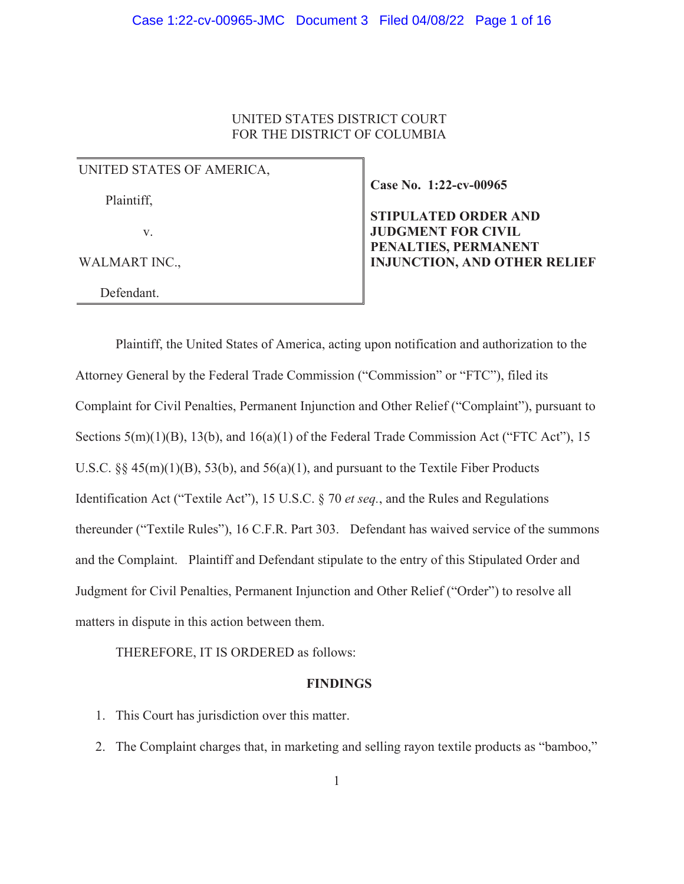# UNITED STATES DISTRICT COURT FOR THE DISTRICT OF COLUMBIA

UNITED STATES OF AMERICA,

Plaintiff,

v.

WALMART INC.,

Defendant.

**Case No. 1:22-cv-00965**

**STIPULATED ORDER AND JUDGMENT FOR CIVIL PENALTIES, PERMANENT INJUNCTION, AND OTHER RELIEF** 

Plaintiff, the United States of America, acting upon notification and authorization to the Attorney General by the Federal Trade Commission ("Commission" or "FTC"), filed its Complaint for Civil Penalties, Permanent Injunction and Other Relief ("Complaint"), pursuant to Sections 5(m)(1)(B), 13(b), and 16(a)(1) of the Federal Trade Commission Act ("FTC Act"), 15 U.S.C.  $\S$  45(m)(1)(B), 53(b), and 56(a)(1), and pursuant to the Textile Fiber Products Identification Act ("Textile Act"), 15 U.S.C. § 70 *et seq.*, and the Rules and Regulations thereunder ("Textile Rules"), 16 C.F.R. Part 303. Defendant has waived service of the summons and the Complaint. Plaintiff and Defendant stipulate to the entry of this Stipulated Order and Judgment for Civil Penalties, Permanent Injunction and Other Relief ("Order") to resolve all matters in dispute in this action between them.

THEREFORE, IT IS ORDERED as follows:

## **FINDINGS**

- 1. This Court has jurisdiction over this matter.
- 2. The Complaint charges that, in marketing and selling rayon textile products as "bamboo,"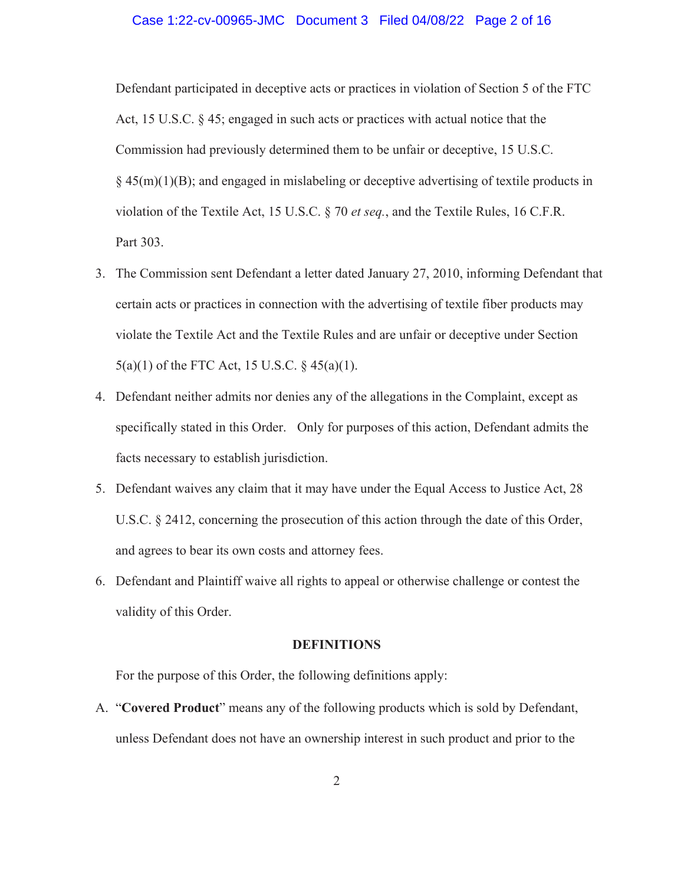### Case 1:22-cv-00965-JMC Document 3 Filed 04/08/22 Page 2 of 16

Defendant participated in deceptive acts or practices in violation of Section 5 of the FTC Act, 15 U.S.C. § 45; engaged in such acts or practices with actual notice that the Commission had previously determined them to be unfair or deceptive, 15 U.S.C.  $\S$  45(m)(1)(B); and engaged in mislabeling or deceptive advertising of textile products in violation of the Textile Act, 15 U.S.C. § 70 *et seq.*, and the Textile Rules, 16 C.F.R. Part 303.

- 3. The Commission sent Defendant a letter dated January 27, 2010, informing Defendant that certain acts or practices in connection with the advertising of textile fiber products may violate the Textile Act and the Textile Rules and are unfair or deceptive under Section 5(a)(1) of the FTC Act, 15 U.S.C. § 45(a)(1).
- 4. Defendant neither admits nor denies any of the allegations in the Complaint, except as specifically stated in this Order. Only for purposes of this action, Defendant admits the facts necessary to establish jurisdiction.
- 5. Defendant waives any claim that it may have under the Equal Access to Justice Act, 28 U.S.C. § 2412, concerning the prosecution of this action through the date of this Order, and agrees to bear its own costs and attorney fees.
- 6. Defendant and Plaintiff waive all rights to appeal or otherwise challenge or contest the validity of this Order.

## **DEFINITIONS**

For the purpose of this Order, the following definitions apply:

A. "**Covered Product**" means any of the following products which is sold by Defendant, unless Defendant does not have an ownership interest in such product and prior to the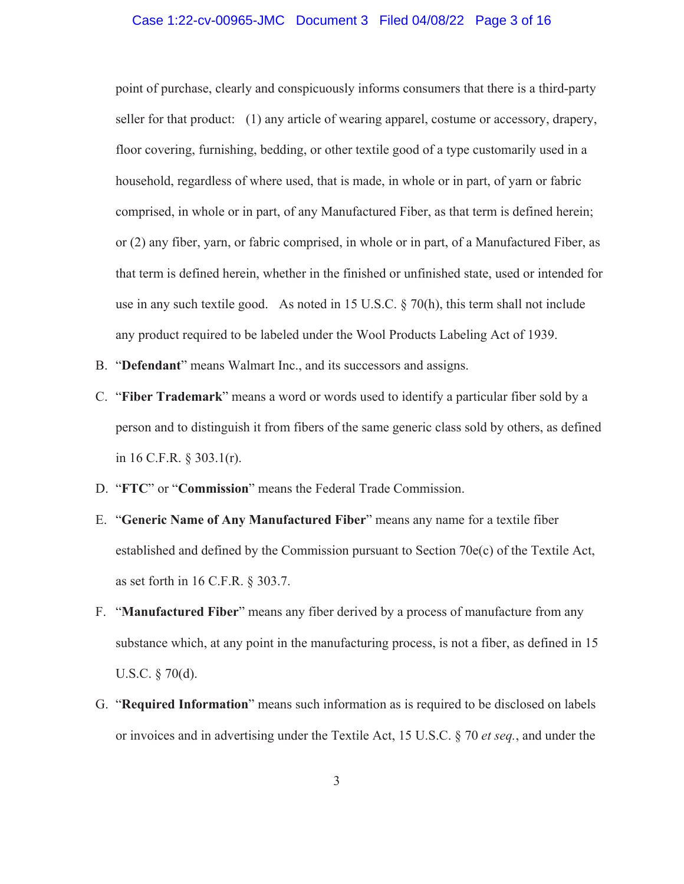## Case 1:22-cv-00965-JMC Document 3 Filed 04/08/22 Page 3 of 16

point of purchase, clearly and conspicuously informs consumers that there is a third-party seller for that product: (1) any article of wearing apparel, costume or accessory, drapery, floor covering, furnishing, bedding, or other textile good of a type customarily used in a household, regardless of where used, that is made, in whole or in part, of yarn or fabric comprised, in whole or in part, of any Manufactured Fiber, as that term is defined herein; or (2) any fiber, yarn, or fabric comprised, in whole or in part, of a Manufactured Fiber, as that term is defined herein, whether in the finished or unfinished state, used or intended for use in any such textile good. As noted in 15 U.S.C.  $\S$  70(h), this term shall not include any product required to be labeled under the Wool Products Labeling Act of 1939.

- B. "**Defendant**" means Walmart Inc., and its successors and assigns.
- C. "**Fiber Trademark**" means a word or words used to identify a particular fiber sold by a person and to distinguish it from fibers of the same generic class sold by others, as defined in 16 C.F.R. § 303.1(r).
- D. "**FTC**" or "**Commission**" means the Federal Trade Commission.
- E. "**Generic Name of Any Manufactured Fiber**" means any name for a textile fiber established and defined by the Commission pursuant to Section 70e(c) of the Textile Act, as set forth in 16 C.F.R. § 303.7.
- F. "**Manufactured Fiber**" means any fiber derived by a process of manufacture from any substance which, at any point in the manufacturing process, is not a fiber, as defined in 15 U.S.C. § 70(d).
- G. "**Required Information**" means such information as is required to be disclosed on labels or invoices and in advertising under the Textile Act, 15 U.S.C. § 70 *et seq.*, and under the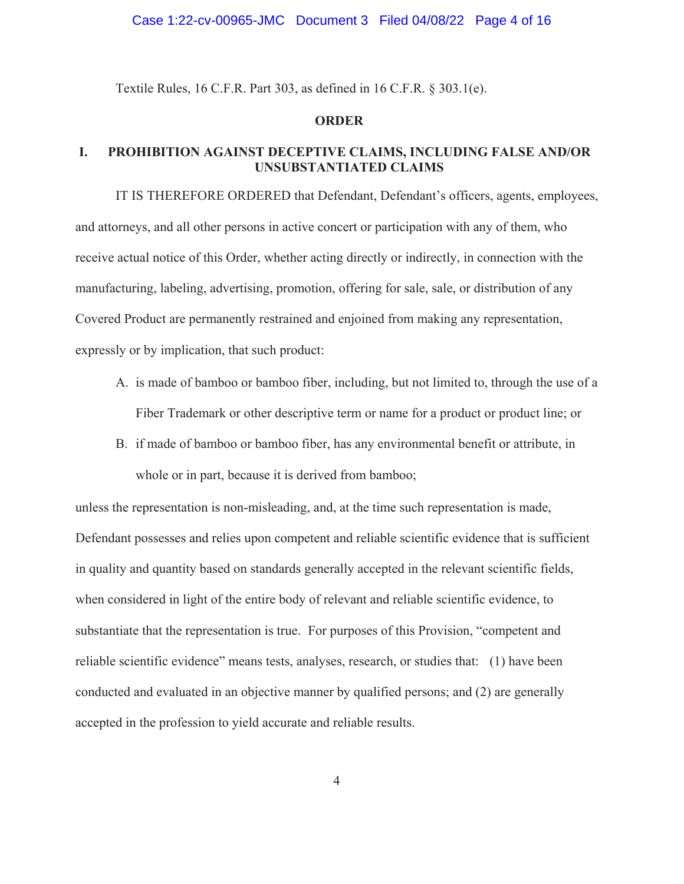#### Case 1:22-cv-00965-JMC Document 3 Filed 04/08/22 Page 4 of 16

Textile Rules, 16 C.F.R. Part 303, as defined in 16 C.F.R. § 303.1(e).

#### **ORDER**

# **I. PROHIBITION AGAINST DECEPTIVE CLAIMS, INCLUDING FALSE AND/OR UNSUBSTANTIATED CLAIMS**

IT IS THEREFORE ORDERED that Defendant, Defendant's officers, agents, employees, and attorneys, and all other persons in active concert or participation with any of them, who receive actual notice of this Order, whether acting directly or indirectly, in connection with the manufacturing, labeling, advertising, promotion, offering for sale, sale, or distribution of any Covered Product are permanently restrained and enjoined from making any representation, expressly or by implication, that such product:

- A. is made of bamboo or bamboo fiber, including, but not limited to, through the use of a Fiber Trademark or other descriptive term or name for a product or product line; or
- B. if made of bamboo or bamboo fiber, has any environmental benefit or attribute, in whole or in part, because it is derived from bamboo;

unless the representation is non-misleading, and, at the time such representation is made, Defendant possesses and relies upon competent and reliable scientific evidence that is sufficient in quality and quantity based on standards generally accepted in the relevant scientific fields, when considered in light of the entire body of relevant and reliable scientific evidence, to substantiate that the representation is true. For purposes of this Provision, "competent and reliable scientific evidence" means tests, analyses, research, or studies that: (1) have been conducted and evaluated in an objective manner by qualified persons; and (2) are generally accepted in the profession to yield accurate and reliable results.

4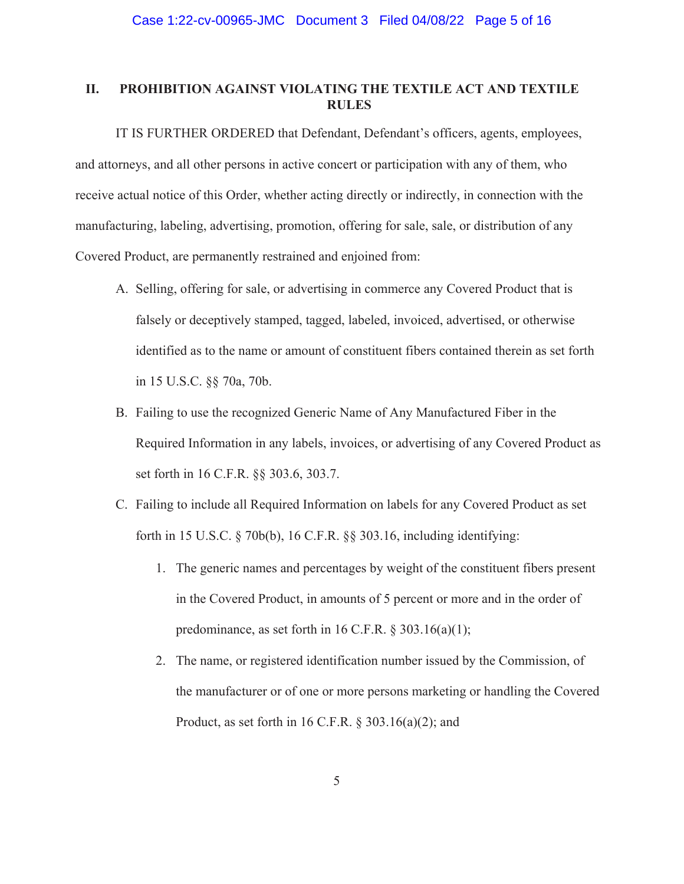# **II. PROHIBITION AGAINST VIOLATING THE TEXTILE ACT AND TEXTILE RULES**

IT IS FURTHER ORDERED that Defendant, Defendant's officers, agents, employees, and attorneys, and all other persons in active concert or participation with any of them, who receive actual notice of this Order, whether acting directly or indirectly, in connection with the manufacturing, labeling, advertising, promotion, offering for sale, sale, or distribution of any Covered Product, are permanently restrained and enjoined from:

- A. Selling, offering for sale, or advertising in commerce any Covered Product that is falsely or deceptively stamped, tagged, labeled, invoiced, advertised, or otherwise identified as to the name or amount of constituent fibers contained therein as set forth in 15 U.S.C. §§ 70a, 70b.
- B. Failing to use the recognized Generic Name of Any Manufactured Fiber in the Required Information in any labels, invoices, or advertising of any Covered Product as set forth in 16 C.F.R. §§ 303.6, 303.7.
- C. Failing to include all Required Information on labels for any Covered Product as set forth in 15 U.S.C. § 70b(b), 16 C.F.R. §§ 303.16, including identifying:
	- 1. The generic names and percentages by weight of the constituent fibers present in the Covered Product, in amounts of 5 percent or more and in the order of predominance, as set forth in 16 C.F.R.  $\S 303.16(a)(1);$
	- 2. The name, or registered identification number issued by the Commission, of the manufacturer or of one or more persons marketing or handling the Covered Product, as set forth in 16 C.F.R. § 303.16(a)(2); and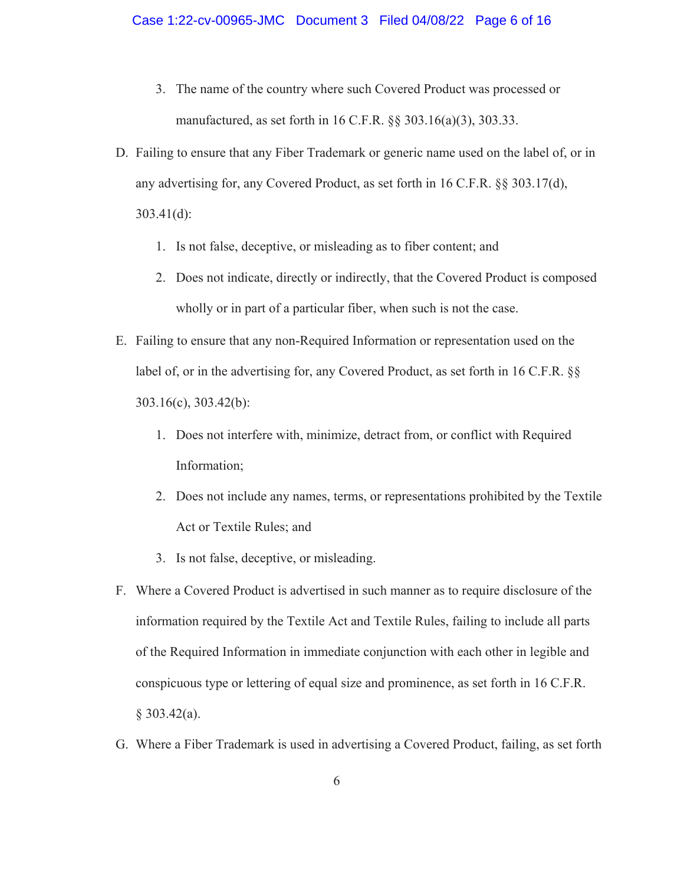- 3. The name of the country where such Covered Product was processed or manufactured, as set forth in 16 C.F.R. §§ 303.16(a)(3), 303.33.
- D. Failing to ensure that any Fiber Trademark or generic name used on the label of, or in any advertising for, any Covered Product, as set forth in 16 C.F.R. §§ 303.17(d), 303.41(d):
	- 1. Is not false, deceptive, or misleading as to fiber content; and
	- 2. Does not indicate, directly or indirectly, that the Covered Product is composed wholly or in part of a particular fiber, when such is not the case.
- E. Failing to ensure that any non-Required Information or representation used on the label of, or in the advertising for, any Covered Product, as set forth in 16 C.F.R. §§ 303.16(c), 303.42(b):
	- 1. Does not interfere with, minimize, detract from, or conflict with Required Information;
	- 2. Does not include any names, terms, or representations prohibited by the Textile Act or Textile Rules; and
	- 3. Is not false, deceptive, or misleading.
- F. Where a Covered Product is advertised in such manner as to require disclosure of the information required by the Textile Act and Textile Rules, failing to include all parts of the Required Information in immediate conjunction with each other in legible and conspicuous type or lettering of equal size and prominence, as set forth in 16 C.F.R.  $§ 303.42(a).$
- G. Where a Fiber Trademark is used in advertising a Covered Product, failing, as set forth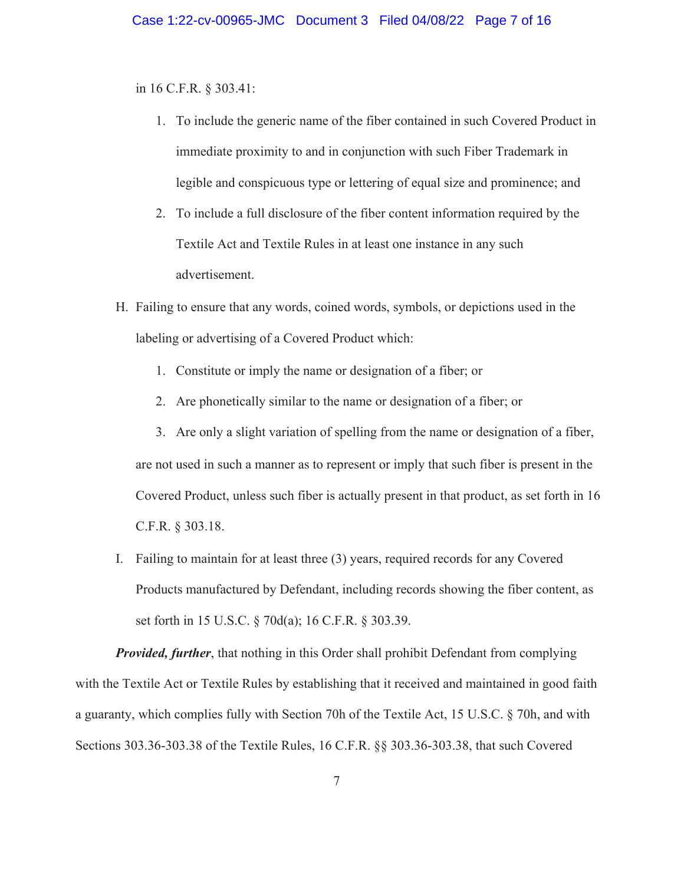in 16 C.F.R. § 303.41:

- 1. To include the generic name of the fiber contained in such Covered Product in immediate proximity to and in conjunction with such Fiber Trademark in legible and conspicuous type or lettering of equal size and prominence; and
- 2. To include a full disclosure of the fiber content information required by the Textile Act and Textile Rules in at least one instance in any such advertisement.
- H. Failing to ensure that any words, coined words, symbols, or depictions used in the labeling or advertising of a Covered Product which:
	- 1. Constitute or imply the name or designation of a fiber; or
	- 2. Are phonetically similar to the name or designation of a fiber; or
	- 3. Are only a slight variation of spelling from the name or designation of a fiber, are not used in such a manner as to represent or imply that such fiber is present in the Covered Product, unless such fiber is actually present in that product, as set forth in 16 C.F.R. § 303.18.
- I. Failing to maintain for at least three (3) years, required records for any Covered Products manufactured by Defendant, including records showing the fiber content, as set forth in 15 U.S.C. § 70d(a); 16 C.F.R. § 303.39.

*Provided, further*, that nothing in this Order shall prohibit Defendant from complying with the Textile Act or Textile Rules by establishing that it received and maintained in good faith a guaranty, which complies fully with Section 70h of the Textile Act, 15 U.S.C. § 70h, and with Sections 303.36-303.38 of the Textile Rules, 16 C.F.R. §§ 303.36-303.38, that such Covered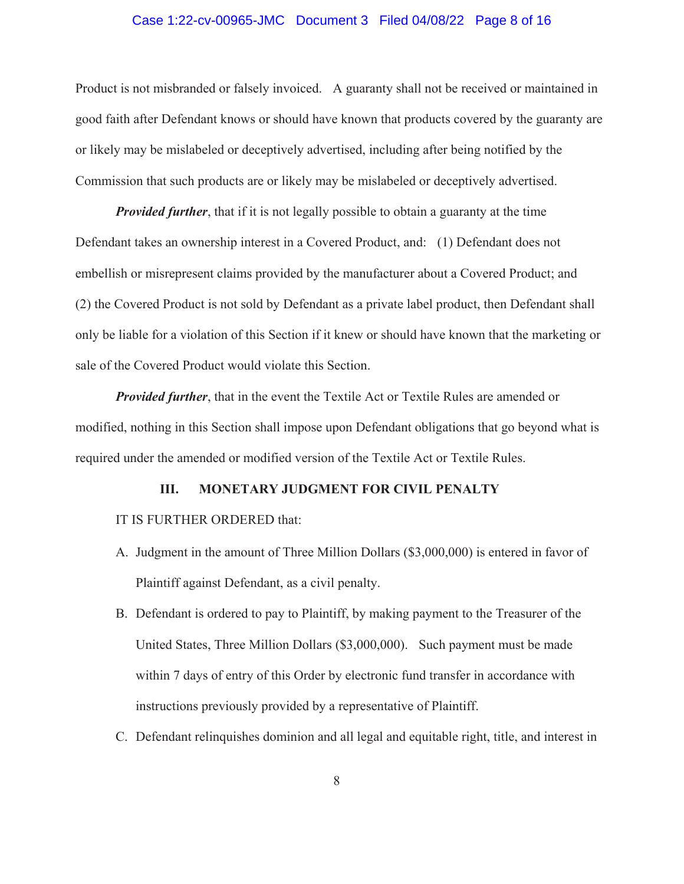## Case 1:22-cv-00965-JMC Document 3 Filed 04/08/22 Page 8 of 16

Product is not misbranded or falsely invoiced. A guaranty shall not be received or maintained in good faith after Defendant knows or should have known that products covered by the guaranty are or likely may be mislabeled or deceptively advertised, including after being notified by the Commission that such products are or likely may be mislabeled or deceptively advertised.

*Provided further*, that if it is not legally possible to obtain a guaranty at the time Defendant takes an ownership interest in a Covered Product, and: (1) Defendant does not embellish or misrepresent claims provided by the manufacturer about a Covered Product; and (2) the Covered Product is not sold by Defendant as a private label product, then Defendant shall only be liable for a violation of this Section if it knew or should have known that the marketing or sale of the Covered Product would violate this Section.

*Provided further*, that in the event the Textile Act or Textile Rules are amended or modified, nothing in this Section shall impose upon Defendant obligations that go beyond what is required under the amended or modified version of the Textile Act or Textile Rules.

#### **III. MONETARY JUDGMENT FOR CIVIL PENALTY**

#### IT IS FURTHER ORDERED that:

- A. Judgment in the amount of Three Million Dollars (\$3,000,000) is entered in favor of Plaintiff against Defendant, as a civil penalty.
- B. Defendant is ordered to pay to Plaintiff, by making payment to the Treasurer of the United States, Three Million Dollars (\$3,000,000). Such payment must be made within 7 days of entry of this Order by electronic fund transfer in accordance with instructions previously provided by a representative of Plaintiff.
- C. Defendant relinquishes dominion and all legal and equitable right, title, and interest in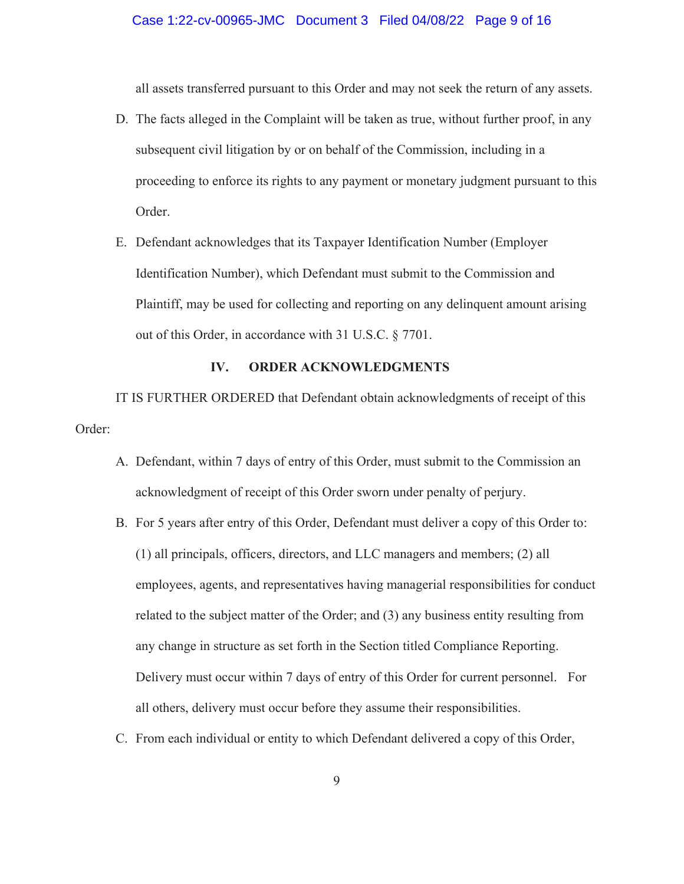all assets transferred pursuant to this Order and may not seek the return of any assets.

- D. The facts alleged in the Complaint will be taken as true, without further proof, in any subsequent civil litigation by or on behalf of the Commission, including in a proceeding to enforce its rights to any payment or monetary judgment pursuant to this Order.
- E. Defendant acknowledges that its Taxpayer Identification Number (Employer Identification Number), which Defendant must submit to the Commission and Plaintiff, may be used for collecting and reporting on any delinquent amount arising out of this Order, in accordance with 31 U.S.C. § 7701.

## **IV. ORDER ACKNOWLEDGMENTS**

IT IS FURTHER ORDERED that Defendant obtain acknowledgments of receipt of this Order:

- A. Defendant, within 7 days of entry of this Order, must submit to the Commission an acknowledgment of receipt of this Order sworn under penalty of perjury.
- B. For 5 years after entry of this Order, Defendant must deliver a copy of this Order to: (1) all principals, officers, directors, and LLC managers and members; (2) all employees, agents, and representatives having managerial responsibilities for conduct related to the subject matter of the Order; and (3) any business entity resulting from any change in structure as set forth in the Section titled Compliance Reporting. Delivery must occur within 7 days of entry of this Order for current personnel. For all others, delivery must occur before they assume their responsibilities.
- C. From each individual or entity to which Defendant delivered a copy of this Order,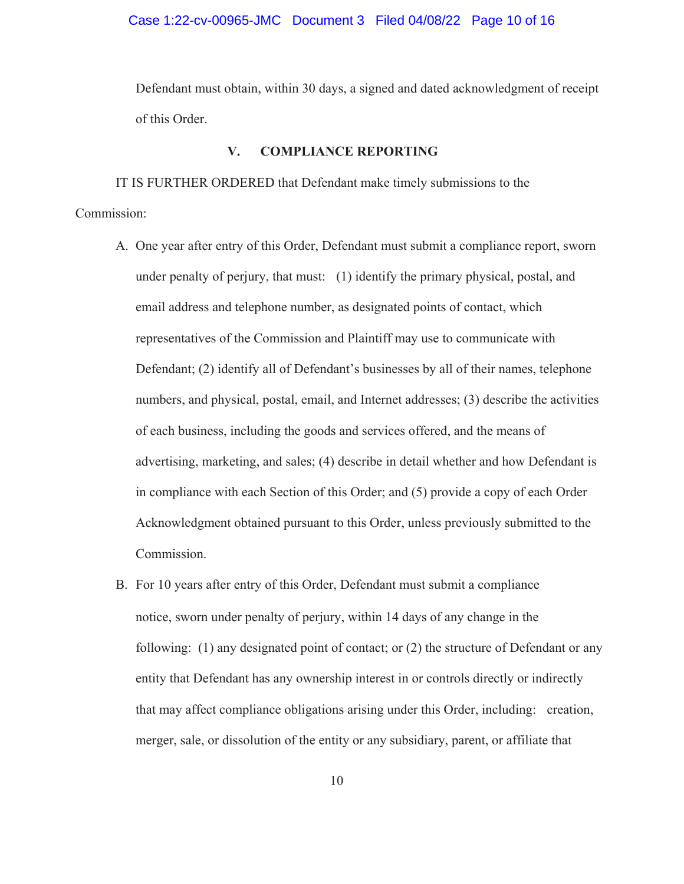## Case 1:22-cv-00965-JMC Document 3 Filed 04/08/22 Page 10 of 16

Defendant must obtain, within 30 days, a signed and dated acknowledgment of receipt of this Order.

#### **V. COMPLIANCE REPORTING**

IT IS FURTHER ORDERED that Defendant make timely submissions to the Commission:

- A. One year after entry of this Order, Defendant must submit a compliance report, sworn under penalty of perjury, that must: (1) identify the primary physical, postal, and email address and telephone number, as designated points of contact, which representatives of the Commission and Plaintiff may use to communicate with Defendant; (2) identify all of Defendant's businesses by all of their names, telephone numbers, and physical, postal, email, and Internet addresses; (3) describe the activities of each business, including the goods and services offered, and the means of advertising, marketing, and sales; (4) describe in detail whether and how Defendant is in compliance with each Section of this Order; and (5) provide a copy of each Order Acknowledgment obtained pursuant to this Order, unless previously submitted to the Commission.
- B. For 10 years after entry of this Order, Defendant must submit a compliance notice, sworn under penalty of perjury, within 14 days of any change in the following: (1) any designated point of contact; or (2) the structure of Defendant or any entity that Defendant has any ownership interest in or controls directly or indirectly that may affect compliance obligations arising under this Order, including: creation, merger, sale, or dissolution of the entity or any subsidiary, parent, or affiliate that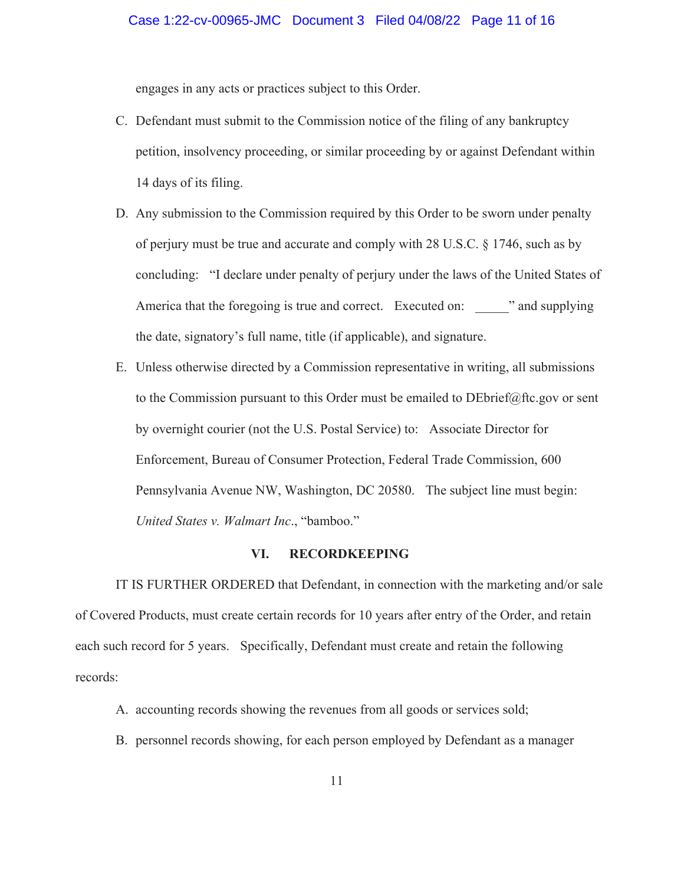engages in any acts or practices subject to this Order.

- C. Defendant must submit to the Commission notice of the filing of any bankruptcy petition, insolvency proceeding, or similar proceeding by or against Defendant within 14 days of its filing.
- D. Any submission to the Commission required by this Order to be sworn under penalty of perjury must be true and accurate and comply with 28 U.S.C. § 1746, such as by concluding: "I declare under penalty of perjury under the laws of the United States of America that the foregoing is true and correct. Executed on: "and supplying the date, signatory's full name, title (if applicable), and signature.
- E. Unless otherwise directed by a Commission representative in writing, all submissions to the Commission pursuant to this Order must be emailed to  $DEbrief@ftc.gov$  or sent by overnight courier (not the U.S. Postal Service) to: Associate Director for Enforcement, Bureau of Consumer Protection, Federal Trade Commission, 600 Pennsylvania Avenue NW, Washington, DC 20580. The subject line must begin: *United States v. Walmart Inc*., "bamboo."

#### **VI. RECORDKEEPING**

IT IS FURTHER ORDERED that Defendant, in connection with the marketing and/or sale of Covered Products, must create certain records for 10 years after entry of the Order, and retain each such record for 5 years. Specifically, Defendant must create and retain the following records:

- A. accounting records showing the revenues from all goods or services sold;
- B. personnel records showing, for each person employed by Defendant as a manager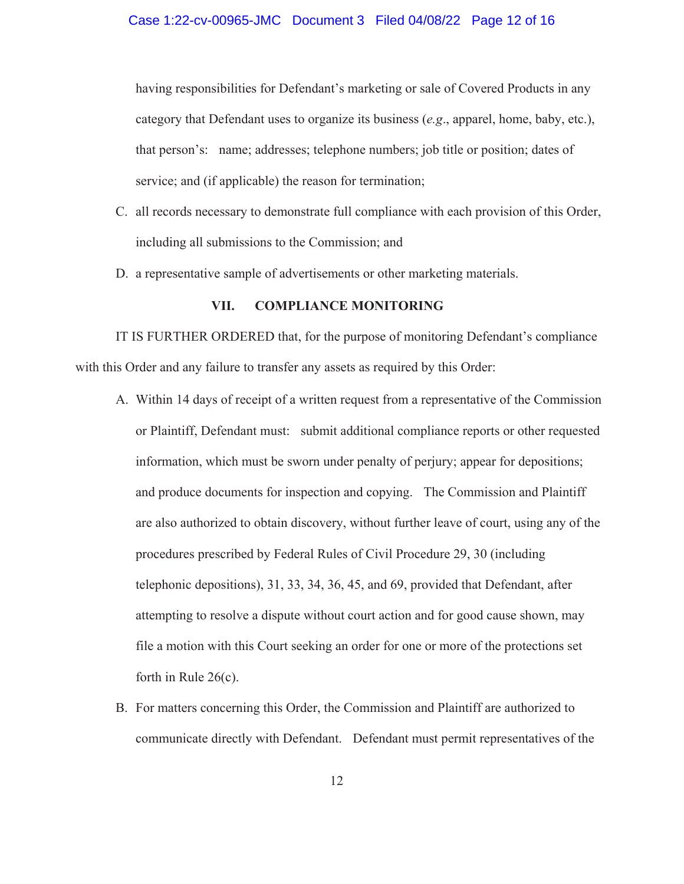having responsibilities for Defendant's marketing or sale of Covered Products in any category that Defendant uses to organize its business (*e.g*., apparel, home, baby, etc.), that person's: name; addresses; telephone numbers; job title or position; dates of service; and (if applicable) the reason for termination;

- C. all records necessary to demonstrate full compliance with each provision of this Order, including all submissions to the Commission; and
- D. a representative sample of advertisements or other marketing materials.

#### **VII. COMPLIANCE MONITORING**

IT IS FURTHER ORDERED that, for the purpose of monitoring Defendant's compliance with this Order and any failure to transfer any assets as required by this Order:

- A. Within 14 days of receipt of a written request from a representative of the Commission or Plaintiff, Defendant must: submit additional compliance reports or other requested information, which must be sworn under penalty of perjury; appear for depositions; and produce documents for inspection and copying. The Commission and Plaintiff are also authorized to obtain discovery, without further leave of court, using any of the procedures prescribed by Federal Rules of Civil Procedure 29, 30 (including telephonic depositions), 31, 33, 34, 36, 45, and 69, provided that Defendant, after attempting to resolve a dispute without court action and for good cause shown, may file a motion with this Court seeking an order for one or more of the protections set forth in Rule 26(c).
- B. For matters concerning this Order, the Commission and Plaintiff are authorized to communicate directly with Defendant. Defendant must permit representatives of the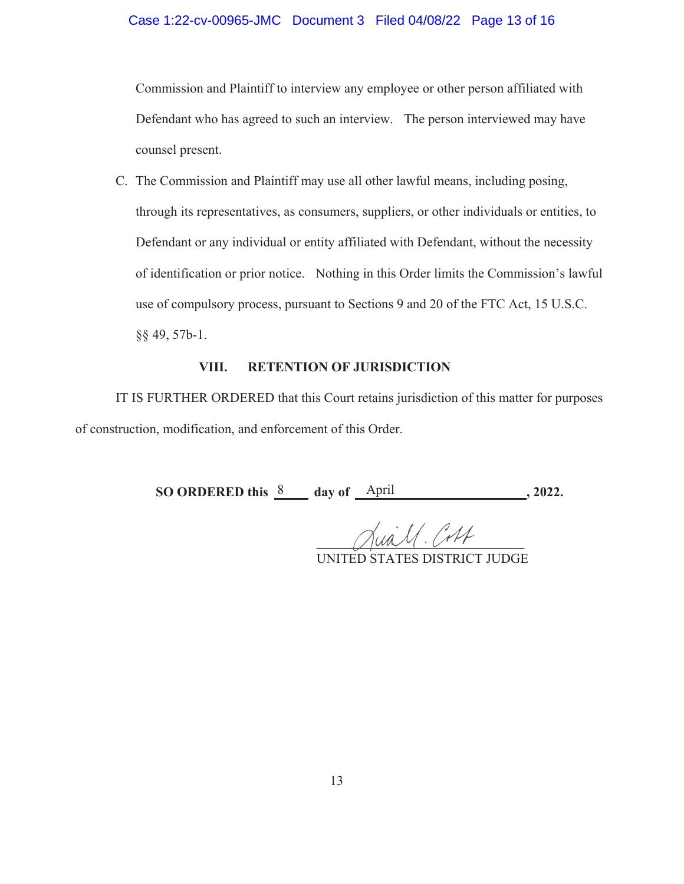## Case 1:22-cv-00965-JMC Document 3 Filed 04/08/22 Page 13 of 16

Commission and Plaintiff to interview any employee or other person affiliated with Defendant who has agreed to such an interview. The person interviewed may have counsel present.

C. The Commission and Plaintiff may use all other lawful means, including posing, through its representatives, as consumers, suppliers, or other individuals or entities, to Defendant or any individual or entity affiliated with Defendant, without the necessity of identification or prior notice. Nothing in this Order limits the Commission's lawful use of compulsory process, pursuant to Sections 9 and 20 of the FTC Act, 15 U.S.C. §§ 49, 57b-1.

## **VIII. RETENTION OF JURISDICTION**

IT IS FURTHER ORDERED that this Court retains jurisdiction of this matter for purposes of construction, modification, and enforcement of this Order.

**SO ORDERED this**  $\frac{8}{2}$  **day of**  $\frac{April}{2022}$ **.** 

Jua. 11. Cort

UNITED STATES DISTRICT JUDGE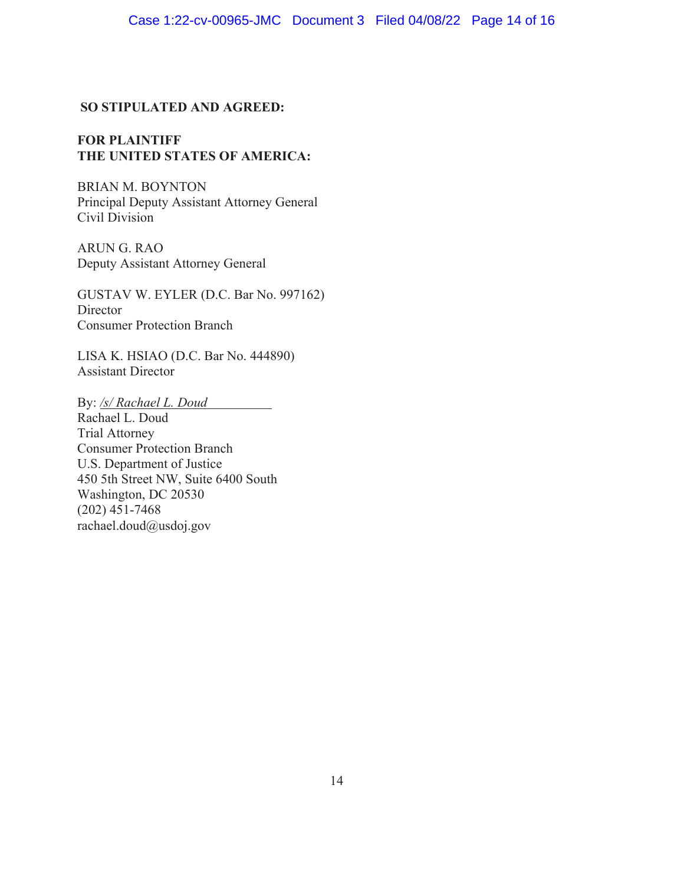# **SO STIPULATED AND AGREED:**

# **FOR PLAINTIFF THE UNITED STATES OF AMERICA:**

BRIAN M. BOYNTON Principal Deputy Assistant Attorney General Civil Division

ARUN G. RAO Deputy Assistant Attorney General

GUSTAV W. EYLER (D.C. Bar No. 997162) **Director** Consumer Protection Branch

LISA K. HSIAO (D.C. Bar No. 444890) Assistant Director

By: */s/ Rachael L. Doud* 

Rachael L. Doud Trial Attorney Consumer Protection Branch U.S. Department of Justice 450 5th Street NW, Suite 6400 South Washington, DC 20530 (202) 451-7468 rachael.doud@usdoj.gov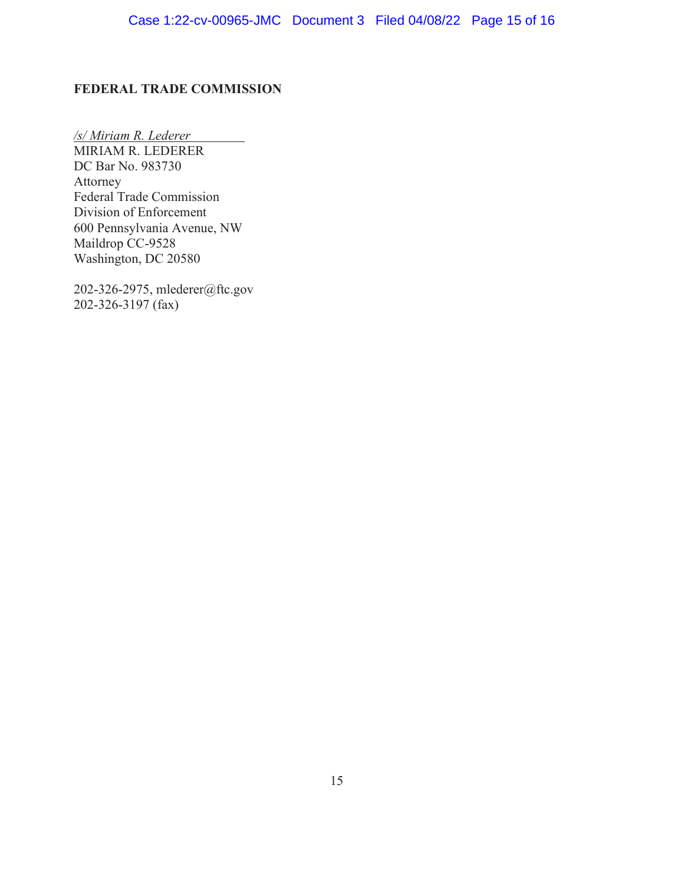# FEDERAL TRADE COMMISSION

*/s/ Miriam R. Lederer*  MIRIAM R. LEDERER DC Bar No. 983730 Attorney Federal Trade Commission Division of Enforcement 600 Pennsylvania Avenue, NW Maildrop CC-9528 Washington, DC 20580

202-326-2975, mlederer@ftc.gov 202-326-3197 (fax)